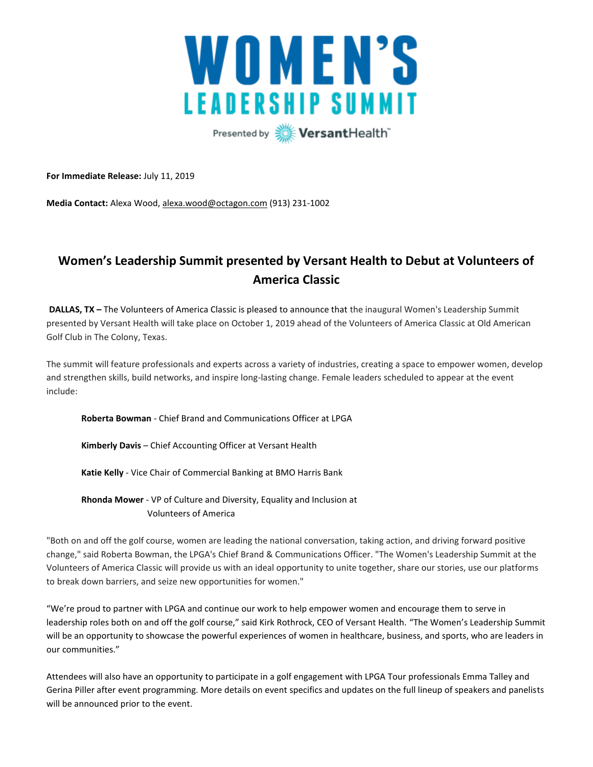

**For Immediate Release:** July 11, 2019

**Media Contact:** Alexa Wood, [alexa.wood@octagon.com](mailto:alexa.wood@octagon.com) (913) 231-1002

# **Women's Leadership Summit presented by Versant Health to Debut at Volunteers of America Classic**

**DALLAS, TX –** The Volunteers of America Classic is pleased to announce that the inaugural Women's Leadership Summit presented by Versant Health will take place on October 1, 2019 ahead of the Volunteers of America Classic at Old American Golf Club in The Colony, Texas.

The summit will feature professionals and experts across a variety of industries, creating a space to empower women, develop and strengthen skills, build networks, and inspire long-lasting change. Female leaders scheduled to appear at the event include:

**Roberta Bowman** - Chief Brand and Communications Officer at LPGA

**Kimberly Davis** – Chief Accounting Officer at Versant Health

**Katie Kelly** - Vice Chair of Commercial Banking at BMO Harris Bank

**Rhonda Mower** - VP of Culture and Diversity, Equality and Inclusion at Volunteers of America

"Both on and off the golf course, women are leading the national conversation, taking action, and driving forward positive change," said Roberta Bowman, the LPGA's Chief Brand & Communications Officer. "The Women's Leadership Summit at the Volunteers of America Classic will provide us with an ideal opportunity to unite together, share our stories, use our platforms to break down barriers, and seize new opportunities for women."

"We're proud to partner with LPGA and continue our work to help empower women and encourage them to serve in leadership roles both on and off the golf course," said Kirk Rothrock, CEO of Versant Health. "The Women's Leadership Summit will be an opportunity to showcase the powerful experiences of women in healthcare, business, and sports, who are leaders in our communities."

Attendees will also have an opportunity to participate in a golf engagement with LPGA Tour professionals Emma Talley and Gerina Piller after event programming. More details on event specifics and updates on the full lineup of speakers and panelists will be announced prior to the event.